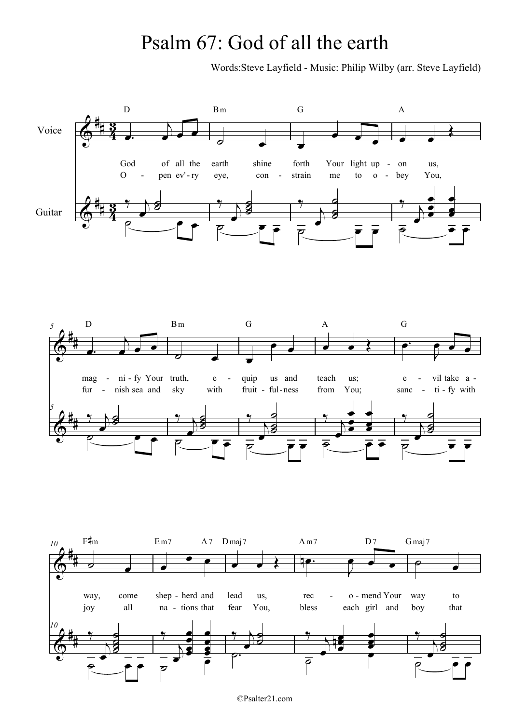## Psalm 67: God of all the earth

Words:Steve Layfield - Music: Philip Wilby (arr. Steve Layfield)